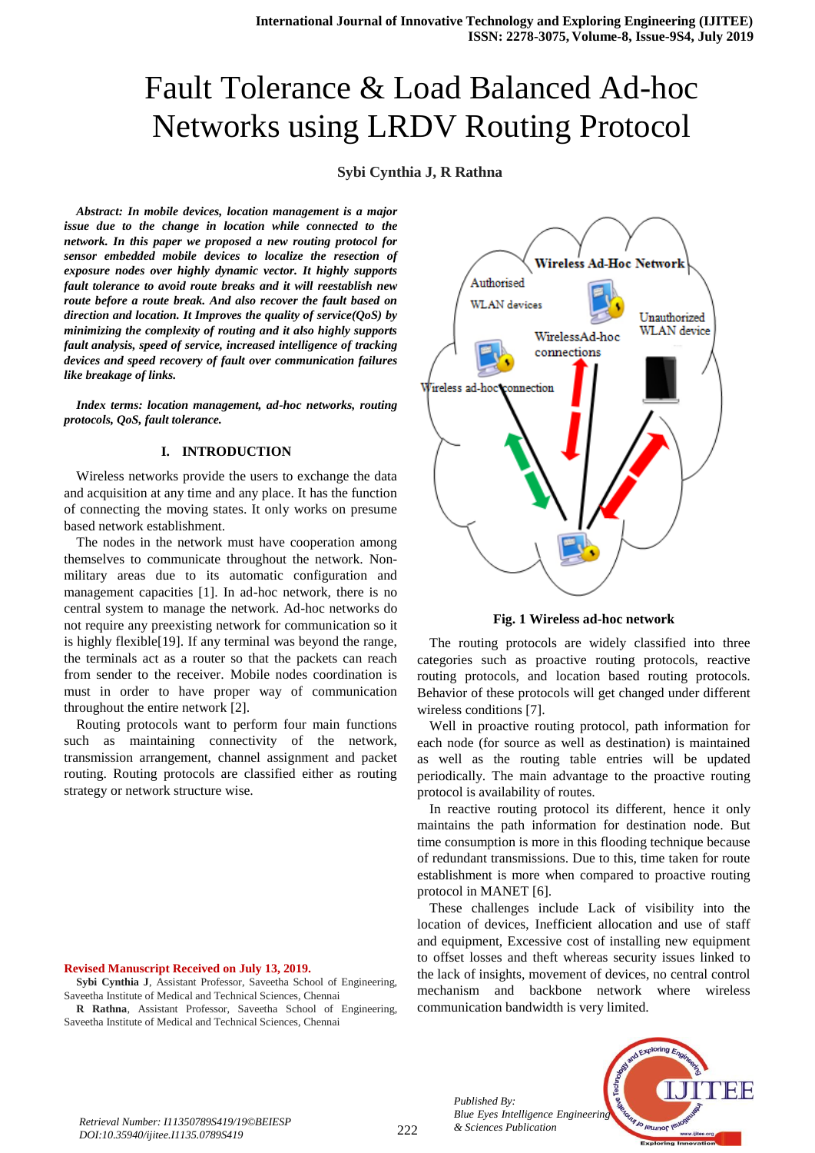# Fault Tolerance & Load Balanced Ad-hoc Networks using LRDV Routing Protocol

# **Sybi Cynthia J, R Rathna**

*Abstract: In mobile devices, location management is a major issue due to the change in location while connected to the network. In this paper we proposed a new routing protocol for sensor embedded mobile devices to localize the resection of exposure nodes over highly dynamic vector. It highly supports fault tolerance to avoid route breaks and it will reestablish new route before a route break. And also recover the fault based on direction and location. It Improves the quality of service(QoS) by minimizing the complexity of routing and it also highly supports fault analysis, speed of service, increased intelligence of tracking devices and speed recovery of fault over communication failures like breakage of links.*

*Index terms: location management, ad-hoc networks, routing protocols, QoS, fault tolerance.*

# **I. INTRODUCTION**

Wireless networks provide the users to exchange the data and acquisition at any time and any place. It has the function of connecting the moving states. It only works on presume based network establishment.

The nodes in the network must have cooperation among themselves to communicate throughout the network. Nonmilitary areas due to its automatic configuration and management capacities [1]. In ad-hoc network, there is no central system to manage the network. Ad-hoc networks do not require any preexisting network for communication so it is highly flexible[19]. If any terminal was beyond the range, the terminals act as a router so that the packets can reach from sender to the receiver. Mobile nodes coordination is must in order to have proper way of communication throughout the entire network [2].

Routing protocols want to perform four main functions such as maintaining connectivity of the network, transmission arrangement, channel assignment and packet routing. Routing protocols are classified either as routing strategy or network structure wise.

**Revised Manuscript Received on July 13, 2019.**

**Sybi Cynthia J**, Assistant Professor, Saveetha School of Engineering, Saveetha Institute of Medical and Technical Sciences, Chennai

**R Rathna**, Assistant Professor, Saveetha School of Engineering, Saveetha Institute of Medical and Technical Sciences, Chennai



**Fig. 1 Wireless ad-hoc network**

The routing protocols are widely classified into three categories such as proactive routing protocols, reactive routing protocols, and location based routing protocols. Behavior of these protocols will get changed under different wireless conditions [7].

Well in proactive routing protocol, path information for each node (for source as well as destination) is maintained as well as the routing table entries will be updated periodically. The main advantage to the proactive routing protocol is availability of routes.

In reactive routing protocol its different, hence it only maintains the path information for destination node. But time consumption is more in this flooding technique because of redundant transmissions. Due to this, time taken for route establishment is more when compared to proactive routing protocol in MANET [6].

These challenges include Lack of visibility into the location of devices, Inefficient allocation and use of staff and equipment, Excessive cost of installing new equipment to offset losses and theft whereas security issues linked to the lack of insights, movement of devices, no central control mechanism and backbone network where wireless communication bandwidth is very limited.

> *Published By: Blue Eyes Intelligence Engineering*



*& Sciences Publication Retrieval Number: I11350789S419/19©BEIESP DOI:10.35940/ijitee.I1135.0789S419*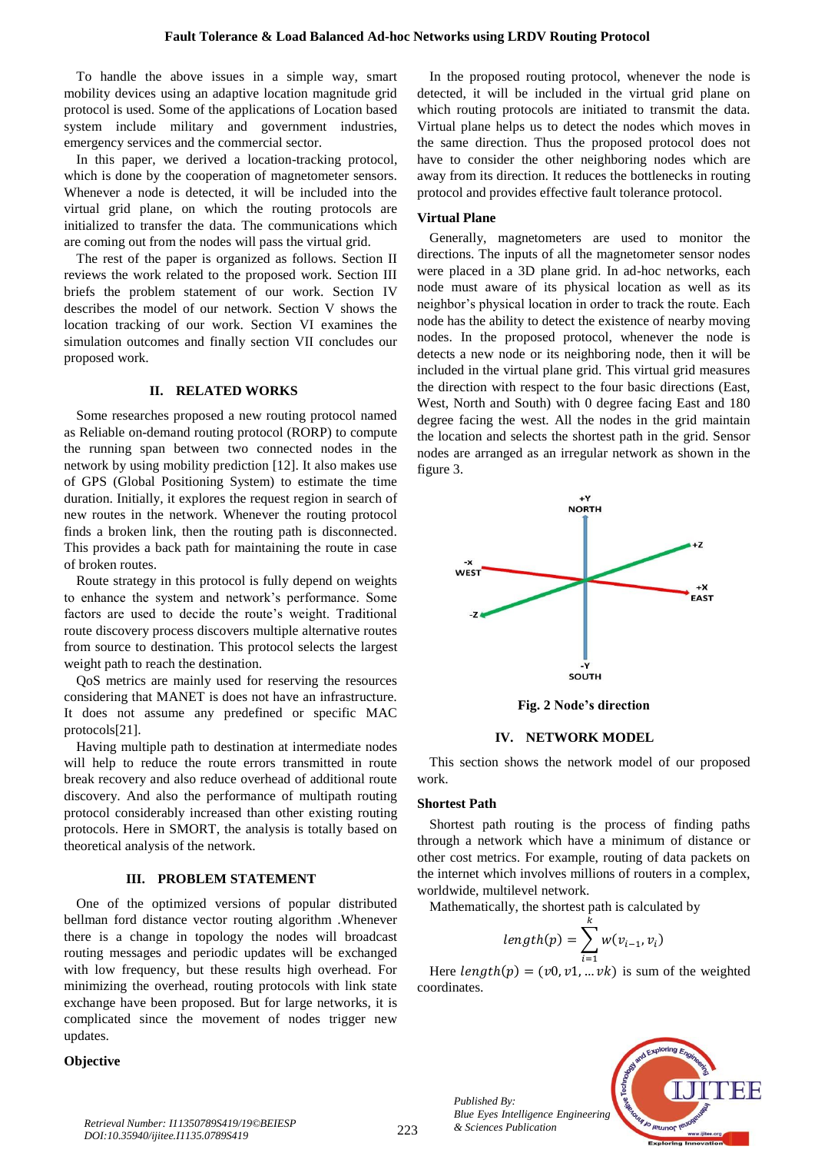To handle the above issues in a simple way, smart mobility devices using an adaptive location magnitude grid protocol is used. Some of the applications of Location based system include military and government industries, emergency services and the commercial sector.

In this paper, we derived a location-tracking protocol, which is done by the cooperation of magnetometer sensors. Whenever a node is detected, it will be included into the virtual grid plane, on which the routing protocols are initialized to transfer the data. The communications which are coming out from the nodes will pass the virtual grid.

The rest of the paper is organized as follows. Section II reviews the work related to the proposed work. Section III briefs the problem statement of our work. Section IV describes the model of our network. Section V shows the location tracking of our work. Section VI examines the simulation outcomes and finally section VII concludes our proposed work.

#### **II. RELATED WORKS**

Some researches proposed a new routing protocol named as Reliable on-demand routing protocol (RORP) to compute the running span between two connected nodes in the network by using mobility prediction [12]. It also makes use of GPS (Global Positioning System) to estimate the time duration. Initially, it explores the request region in search of new routes in the network. Whenever the routing protocol finds a broken link, then the routing path is disconnected. This provides a back path for maintaining the route in case of broken routes.

Route strategy in this protocol is fully depend on weights to enhance the system and network's performance. Some factors are used to decide the route's weight. Traditional route discovery process discovers multiple alternative routes from source to destination. This protocol selects the largest weight path to reach the destination.

QoS metrics are mainly used for reserving the resources considering that MANET is does not have an infrastructure. It does not assume any predefined or specific MAC protocols[21].

Having multiple path to destination at intermediate nodes will help to reduce the route errors transmitted in route break recovery and also reduce overhead of additional route discovery. And also the performance of multipath routing protocol considerably increased than other existing routing protocols. Here in SMORT, the analysis is totally based on theoretical analysis of the network.

#### **III. PROBLEM STATEMENT**

One of the optimized versions of popular distributed bellman ford distance vector routing algorithm .Whenever there is a change in topology the nodes will broadcast routing messages and periodic updates will be exchanged with low frequency, but these results high overhead. For minimizing the overhead, routing protocols with link state exchange have been proposed. But for large networks, it is complicated since the movement of nodes trigger new updates.

#### **Objective**

In the proposed routing protocol, whenever the node is detected, it will be included in the virtual grid plane on which routing protocols are initiated to transmit the data. Virtual plane helps us to detect the nodes which moves in the same direction. Thus the proposed protocol does not have to consider the other neighboring nodes which are away from its direction. It reduces the bottlenecks in routing protocol and provides effective fault tolerance protocol.

#### **Virtual Plane**

Generally, magnetometers are used to monitor the directions. The inputs of all the magnetometer sensor nodes were placed in a 3D plane grid. In ad-hoc networks, each node must aware of its physical location as well as its neighbor's physical location in order to track the route. Each node has the ability to detect the existence of nearby moving nodes. In the proposed protocol, whenever the node is detects a new node or its neighboring node, then it will be included in the virtual plane grid. This virtual grid measures the direction with respect to the four basic directions (East, West, North and South) with 0 degree facing East and 180 degree facing the west. All the nodes in the grid maintain the location and selects the shortest path in the grid. Sensor nodes are arranged as an irregular network as shown in the figure 3.



**Fig. 2 Node's direction**

#### **IV. NETWORK MODEL**

This section shows the network model of our proposed work.

#### **Shortest Path**

Shortest path routing is the process of finding paths through a network which have a minimum of distance or other cost metrics. For example, routing of data packets on the internet which involves millions of routers in a complex, worldwide, multilevel network.

Mathematically, the shortest path is calculated by

$$
length(p) = \sum_{i=1}^{k} w(v_{i-1}, v_i)
$$

Here  $length(p) = (v0, v1, ... vk)$  is sum of the weighted coordinates.

> *Published By: Blue Eyes Intelligence Engineering*



*& Sciences Publication Retrieval Number: I11350789S419/19©BEIESP DOI:10.35940/ijitee.I1135.0789S419*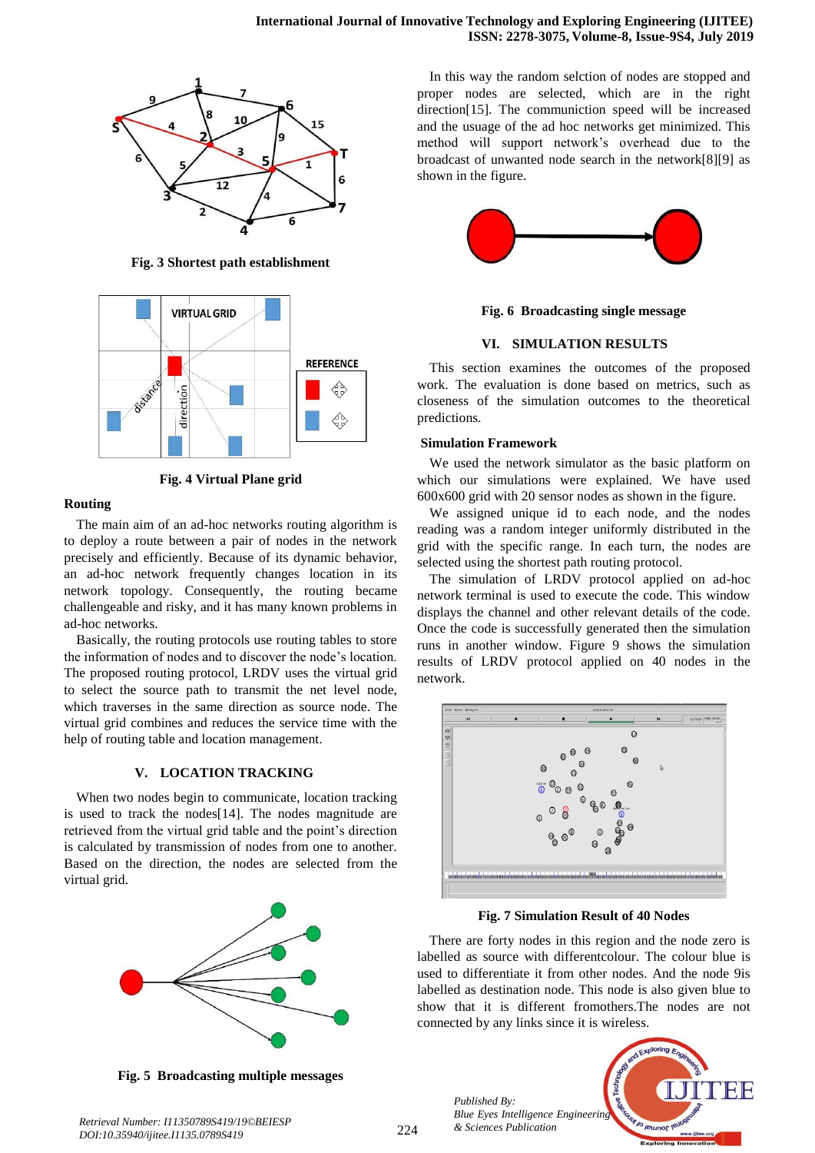

**Fig. 3 Shortest path establishment**



**Fig. 4 Virtual Plane grid**

# **Routing**

The main aim of an ad-hoc networks routing algorithm is to deploy a route between a pair of nodes in the network precisely and efficiently. Because of its dynamic behavior, an ad-hoc network frequently changes location in its network topology. Consequently, the routing became challengeable and risky, and it has many known problems in ad-hoc networks.

Basically, the routing protocols use routing tables to store the information of nodes and to discover the node's location. The proposed routing protocol, LRDV uses the virtual grid to select the source path to transmit the net level node, which traverses in the same direction as source node. The virtual grid combines and reduces the service time with the help of routing table and location management.

# **V. LOCATION TRACKING**

When two nodes begin to communicate, location tracking is used to track the nodes[14]. The nodes magnitude are retrieved from the virtual grid table and the point's direction is calculated by transmission of nodes from one to another. Based on the direction, the nodes are selected from the virtual grid.



**Fig. 5 Broadcasting multiple messages**

In this way the random selction of nodes are stopped and proper nodes are selected, which are in the right direction[15]. The communiction speed will be increased and the usuage of the ad hoc networks get minimized. This method will support network's overhead due to the broadcast of unwanted node search in the network[8][9] as shown in the figure.



**Fig. 6 Broadcasting single message**

## **VI. SIMULATION RESULTS**

This section examines the outcomes of the proposed work. The evaluation is done based on metrics, such as closeness of the simulation outcomes to the theoretical predictions.

## **Simulation Framework**

We used the network simulator as the basic platform on which our simulations were explained. We have used 600x600 grid with 20 sensor nodes as shown in the figure.

We assigned unique id to each node, and the nodes reading was a random integer uniformly distributed in the grid with the specific range. In each turn, the nodes are selected using the shortest path routing protocol.

The simulation of LRDV protocol applied on ad-hoc network terminal is used to execute the code. This window displays the channel and other relevant details of the code. Once the code is successfully generated then the simulation runs in another window. Figure 9 shows the simulation results of LRDV protocol applied on 40 nodes in the network.



**Fig. 7 Simulation Result of 40 Nodes**

There are forty nodes in this region and the node zero is labelled as source with differentcolour. The colour blue is used to differentiate it from other nodes. And the node 9is labelled as destination node. This node is also given blue to show that it is different fromothers.The nodes are not connected by any links since it is wireless.



*& Sciences Publication Retrieval Number: I11350789S419/19©BEIESP DOI:10.35940/ijitee.I1135.0789S419*

*Published By:*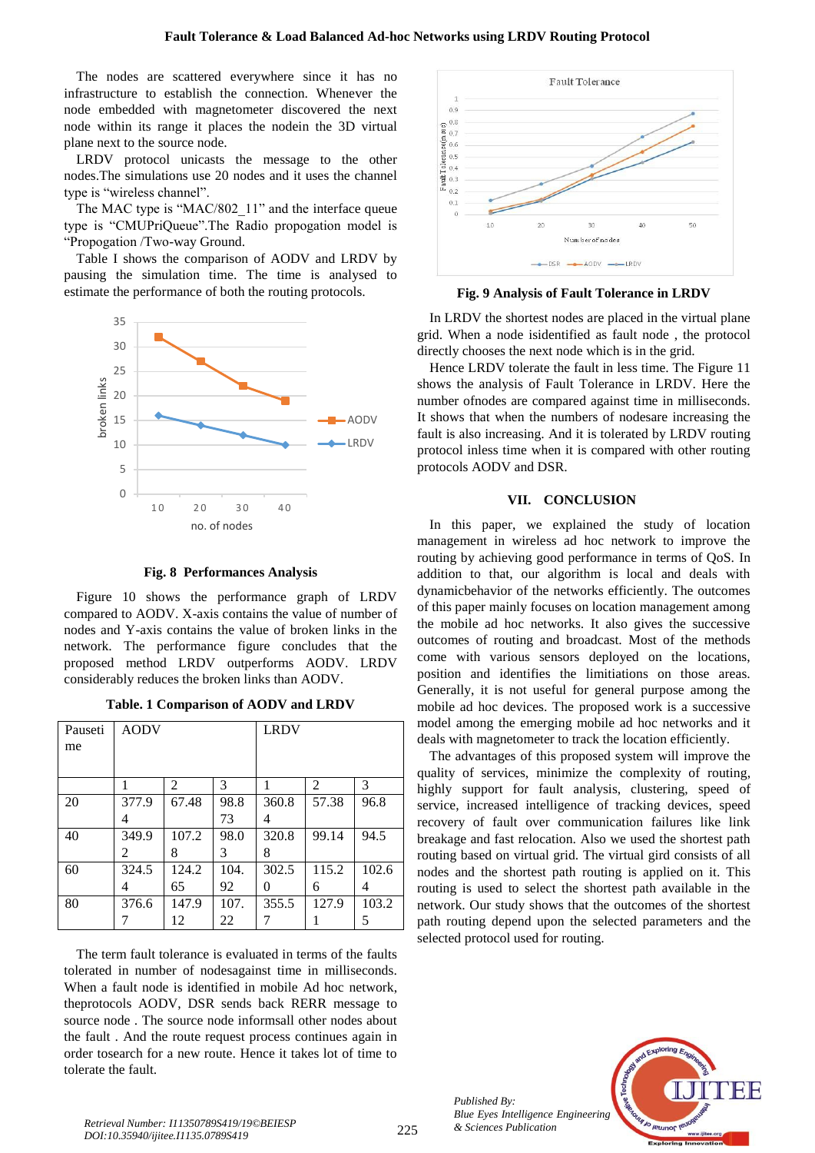The nodes are scattered everywhere since it has no infrastructure to establish the connection. Whenever the node embedded with magnetometer discovered the next node within its range it places the nodein the 3D virtual plane next to the source node.

LRDV protocol unicasts the message to the other nodes.The simulations use 20 nodes and it uses the channel type is "wireless channel".

The MAC type is "MAC/802 11" and the interface queue type is "CMUPriQueue".The Radio propogation model is "Propogation /Two-way Ground.

Table I shows the comparison of AODV and LRDV by pausing the simulation time. The time is analysed to estimate the performance of both the routing protocols.



**Fig. 8 Performances Analysis**

Figure 10 shows the performance graph of LRDV compared to AODV. X-axis contains the value of number of nodes and Y-axis contains the value of broken links in the network. The performance figure concludes that the proposed method LRDV outperforms AODV. LRDV considerably reduces the broken links than AODV.

| Table. 1 Comparison of AODV and LRDV |           |             |  |  |  |  |
|--------------------------------------|-----------|-------------|--|--|--|--|
|                                      | seti AODV | <b>LRDV</b> |  |  |  |  |

| Pauseti<br>me | <b>AODV</b> |                |      | <b>LRDV</b>       |       |       |
|---------------|-------------|----------------|------|-------------------|-------|-------|
|               |             | $\mathfrak{D}$ | 3    |                   | 2     | 3     |
| 20            | 377.9       | 67.48          | 98.8 | 360.8             | 57.38 | 96.8  |
|               | 4           |                | 73   | 4                 |       |       |
| 40            | 349.9       | 107.2          | 98.0 | 320.8             | 99.14 | 94.5  |
|               | 2           | 8              | 3    | 8                 |       |       |
| 60            | 324.5       | 124.2          | 104. | 302.5             | 115.2 | 102.6 |
|               | 4           | 65             | 92   | $\mathbf{\Omega}$ | 6     | 4     |
| 80            | 376.6       | 147.9          | 107. | 355.5             | 127.9 | 103.2 |
|               |             | 12             | 22   |                   |       | 5     |

The term fault tolerance is evaluated in terms of the faults tolerated in number of nodesagainst time in milliseconds. When a fault node is identified in mobile Ad hoc network, theprotocols AODV, DSR sends back RERR message to source node . The source node informsall other nodes about the fault . And the route request process continues again in order tosearch for a new route. Hence it takes lot of time to tolerate the fault.



**Fig. 9 Analysis of Fault Tolerance in LRDV**

In LRDV the shortest nodes are placed in the virtual plane grid. When a node isidentified as fault node , the protocol directly chooses the next node which is in the grid.

Hence LRDV tolerate the fault in less time. The Figure 11 shows the analysis of Fault Tolerance in LRDV. Here the number ofnodes are compared against time in milliseconds. It shows that when the numbers of nodesare increasing the fault is also increasing. And it is tolerated by LRDV routing protocol inless time when it is compared with other routing protocols AODV and DSR.

## **VII. CONCLUSION**

In this paper, we explained the study of location management in wireless ad hoc network to improve the routing by achieving good performance in terms of QoS. In addition to that, our algorithm is local and deals with dynamicbehavior of the networks efficiently. The outcomes of this paper mainly focuses on location management among the mobile ad hoc networks. It also gives the successive outcomes of routing and broadcast. Most of the methods come with various sensors deployed on the locations, position and identifies the limitiations on those areas. Generally, it is not useful for general purpose among the mobile ad hoc devices. The proposed work is a successive model among the emerging mobile ad hoc networks and it deals with magnetometer to track the location efficiently.

The advantages of this proposed system will improve the quality of services, minimize the complexity of routing, highly support for fault analysis, clustering, speed of service, increased intelligence of tracking devices, speed recovery of fault over communication failures like link breakage and fast relocation. Also we used the shortest path routing based on virtual grid. The virtual gird consists of all nodes and the shortest path routing is applied on it. This routing is used to select the shortest path available in the network. Our study shows that the outcomes of the shortest path routing depend upon the selected parameters and the selected protocol used for routing.



*Published By:*